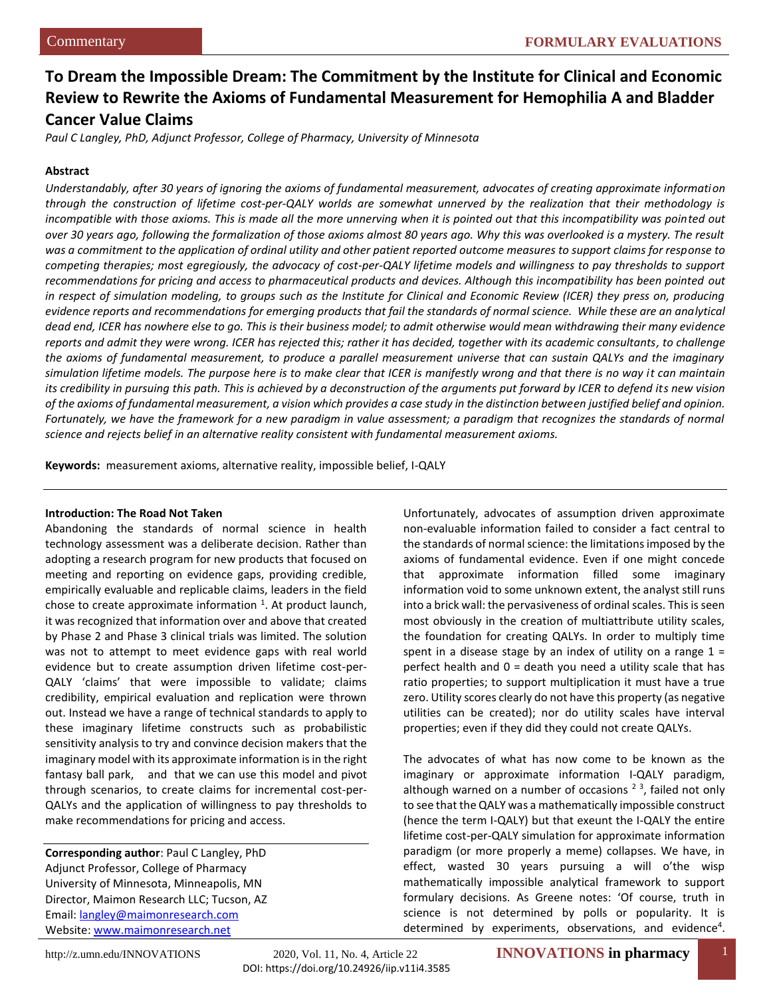# **To Dream the Impossible Dream: The Commitment by the Institute for Clinical and Economic Review to Rewrite the Axioms of Fundamental Measurement for Hemophilia A and Bladder Cancer Value Claims**

*Paul C Langley, PhD, Adjunct Professor, College of Pharmacy, University of Minnesota*

#### **Abstract**

*Understandably, after 30 years of ignoring the axioms of fundamental measurement, advocates of creating approximate information through the construction of lifetime cost-per-QALY worlds are somewhat unnerved by the realization that their methodology is*  incompatible with those axioms. This is made all the more unnerving when it is pointed out that this incompatibility was pointed out *over 30 years ago, following the formalization of those axioms almost 80 years ago. Why this was overlooked is a mystery. The result was a commitment to the application of ordinal utility and other patient reported outcome measures to support claims for response to competing therapies; most egregiously, the advocacy of cost-per-QALY lifetime models and willingness to pay thresholds to support recommendations for pricing and access to pharmaceutical products and devices. Although this incompatibility has been pointed out in respect of simulation modeling, to groups such as the Institute for Clinical and Economic Review (ICER) they press on, producing evidence reports and recommendations for emerging products that fail the standards of normal science. While these are an analytical dead end, ICER has nowhere else to go. This is their business model; to admit otherwise would mean withdrawing their many evidence reports and admit they were wrong. ICER has rejected this; rather it has decided, together with its academic consultants, to challenge the axioms of fundamental measurement, to produce a parallel measurement universe that can sustain QALYs and the imaginary simulation lifetime models. The purpose here is to make clear that ICER is manifestly wrong and that there is no way it can maintain its credibility in pursuing this path. This is achieved by a deconstruction of the arguments put forward by ICER to defend its new vision of the axioms of fundamental measurement, a vision which provides a case study in the distinction between justified belief and opinion. Fortunately, we have the framework for a new paradigm in value assessment; a paradigm that recognizes the standards of normal science and rejects belief in an alternative reality consistent with fundamental measurement axioms.*

**Keywords:** measurement axioms, alternative reality, impossible belief, I-QALY

# **Introduction: The Road Not Taken**

Abandoning the standards of normal science in health technology assessment was a deliberate decision. Rather than adopting a research program for new products that focused on meeting and reporting on evidence gaps, providing credible, empirically evaluable and replicable claims, leaders in the field chose to create approximate information  $1$ . At product launch, it was recognized that information over and above that created by Phase 2 and Phase 3 clinical trials was limited. The solution was not to attempt to meet evidence gaps with real world evidence but to create assumption driven lifetime cost-per-QALY 'claims' that were impossible to validate; claims credibility, empirical evaluation and replication were thrown out. Instead we have a range of technical standards to apply to these imaginary lifetime constructs such as probabilistic sensitivity analysis to try and convince decision makers that the imaginary model with its approximate information is in the right fantasy ball park, and that we can use this model and pivot through scenarios, to create claims for incremental cost-per-QALYs and the application of willingness to pay thresholds to make recommendations for pricing and access.

**Corresponding author**: Paul C Langley, PhD Adjunct Professor, College of Pharmacy University of Minnesota, Minneapolis, MN Director, Maimon Research LLC; Tucson, AZ Email: [langley@maimonresearch.com](mailto:langley@maimonresearch.com) Website[: www.maimonresearch.net](http://www.maimonresearch.net/)

Unfortunately, advocates of assumption driven approximate non-evaluable information failed to consider a fact central to the standards of normal science: the limitations imposed by the axioms of fundamental evidence. Even if one might concede that approximate information filled some imaginary information void to some unknown extent, the analyst still runs into a brick wall: the pervasiveness of ordinal scales. This is seen most obviously in the creation of multiattribute utility scales, the foundation for creating QALYs. In order to multiply time spent in a disease stage by an index of utility on a range  $1 =$ perfect health and  $0 =$  death you need a utility scale that has ratio properties; to support multiplication it must have a true zero. Utility scores clearly do not have this property (as negative utilities can be created); nor do utility scales have interval properties; even if they did they could not create QALYs.

The advocates of what has now come to be known as the imaginary or approximate information I-QALY paradigm, although warned on a number of occasions  $2<sup>3</sup>$ , failed not only to see that the QALY was a mathematically impossible construct (hence the term I-QALY) but that exeunt the I-QALY the entire lifetime cost-per-QALY simulation for approximate information paradigm (or more properly a meme) collapses. We have, in effect, wasted 30 years pursuing a will o'the wisp mathematically impossible analytical framework to support formulary decisions. As Greene notes: 'Of course, truth in science is not determined by polls or popularity. It is determined by experiments, observations, and evidence<sup>4</sup>.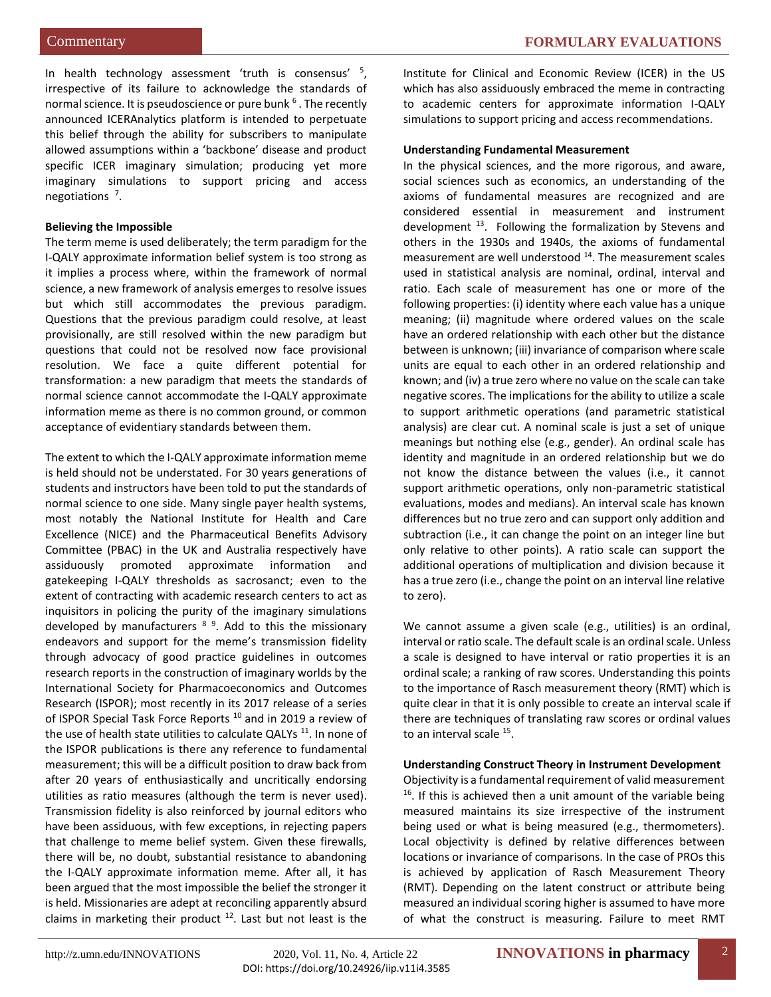In health technology assessment 'truth is consensus' <sup>5</sup> , irrespective of its failure to acknowledge the standards of normal science. It is pseudoscience or pure bunk <sup>6</sup>. The recently announced ICERAnalytics platform is intended to perpetuate this belief through the ability for subscribers to manipulate allowed assumptions within a 'backbone' disease and product specific ICER imaginary simulation; producing yet more imaginary simulations to support pricing and access negotiations<sup>7</sup>.

# **Believing the Impossible**

The term meme is used deliberately; the term paradigm for the I-QALY approximate information belief system is too strong as it implies a process where, within the framework of normal science, a new framework of analysis emerges to resolve issues but which still accommodates the previous paradigm. Questions that the previous paradigm could resolve, at least provisionally, are still resolved within the new paradigm but questions that could not be resolved now face provisional resolution. We face a quite different potential for transformation: a new paradigm that meets the standards of normal science cannot accommodate the I-QALY approximate information meme as there is no common ground, or common acceptance of evidentiary standards between them.

The extent to which the I-QALY approximate information meme is held should not be understated. For 30 years generations of students and instructors have been told to put the standards of normal science to one side. Many single payer health systems, most notably the National Institute for Health and Care Excellence (NICE) and the Pharmaceutical Benefits Advisory Committee (PBAC) in the UK and Australia respectively have assiduously promoted approximate information and gatekeeping I-QALY thresholds as sacrosanct; even to the extent of contracting with academic research centers to act as inquisitors in policing the purity of the imaginary simulations developed by manufacturers <sup>8 9</sup>. Add to this the missionary endeavors and support for the meme's transmission fidelity through advocacy of good practice guidelines in outcomes research reports in the construction of imaginary worlds by the International Society for Pharmacoeconomics and Outcomes Research (ISPOR); most recently in its 2017 release of a series of ISPOR Special Task Force Reports<sup>10</sup> and in 2019 a review of the use of health state utilities to calculate QALYs<sup>11</sup>. In none of the ISPOR publications is there any reference to fundamental measurement; this will be a difficult position to draw back from after 20 years of enthusiastically and uncritically endorsing utilities as ratio measures (although the term is never used). Transmission fidelity is also reinforced by journal editors who have been assiduous, with few exceptions, in rejecting papers that challenge to meme belief system. Given these firewalls, there will be, no doubt, substantial resistance to abandoning the I-QALY approximate information meme. After all, it has been argued that the most impossible the belief the stronger it is held. Missionaries are adept at reconciling apparently absurd claims in marketing their product  $12$ . Last but not least is the Institute for Clinical and Economic Review (ICER) in the US which has also assiduously embraced the meme in contracting to academic centers for approximate information I-QALY simulations to support pricing and access recommendations.

#### **Understanding Fundamental Measurement**

In the physical sciences, and the more rigorous, and aware, social sciences such as economics, an understanding of the axioms of fundamental measures are recognized and are considered essential in measurement and instrument development <sup>13</sup>. Following the formalization by Stevens and others in the 1930s and 1940s, the axioms of fundamental measurement are well understood <sup>14</sup>. The measurement scales used in statistical analysis are nominal, ordinal, interval and ratio. Each scale of measurement has one or more of the following properties: (i) identity where each value has a unique meaning; (ii) magnitude where ordered values on the scale have an ordered relationship with each other but the distance between is unknown; (iii) invariance of comparison where scale units are equal to each other in an ordered relationship and known; and (iv) a true zero where no value on the scale can take negative scores. The implications for the ability to utilize a scale to support arithmetic operations (and parametric statistical analysis) are clear cut. A nominal scale is just a set of unique meanings but nothing else (e.g., gender). An ordinal scale has identity and magnitude in an ordered relationship but we do not know the distance between the values (i.e., it cannot support arithmetic operations, only non-parametric statistical evaluations, modes and medians). An interval scale has known differences but no true zero and can support only addition and subtraction (i.e., it can change the point on an integer line but only relative to other points). A ratio scale can support the additional operations of multiplication and division because it has a true zero (i.e., change the point on an interval line relative to zero).

We cannot assume a given scale (e.g., utilities) is an ordinal, interval or ratio scale. The default scale is an ordinal scale. Unless a scale is designed to have interval or ratio properties it is an ordinal scale; a ranking of raw scores. Understanding this points to the importance of Rasch measurement theory (RMT) which is quite clear in that it is only possible to create an interval scale if there are techniques of translating raw scores or ordinal values to an interval scale <sup>15</sup>.

#### **Understanding Construct Theory in Instrument Development**

Objectivity is a fundamental requirement of valid measurement  $16$ . If this is achieved then a unit amount of the variable being measured maintains its size irrespective of the instrument being used or what is being measured (e.g., thermometers). Local objectivity is defined by relative differences between locations or invariance of comparisons. In the case of PROs this is achieved by application of Rasch Measurement Theory (RMT). Depending on the latent construct or attribute being measured an individual scoring higher is assumed to have more of what the construct is measuring. Failure to meet RMT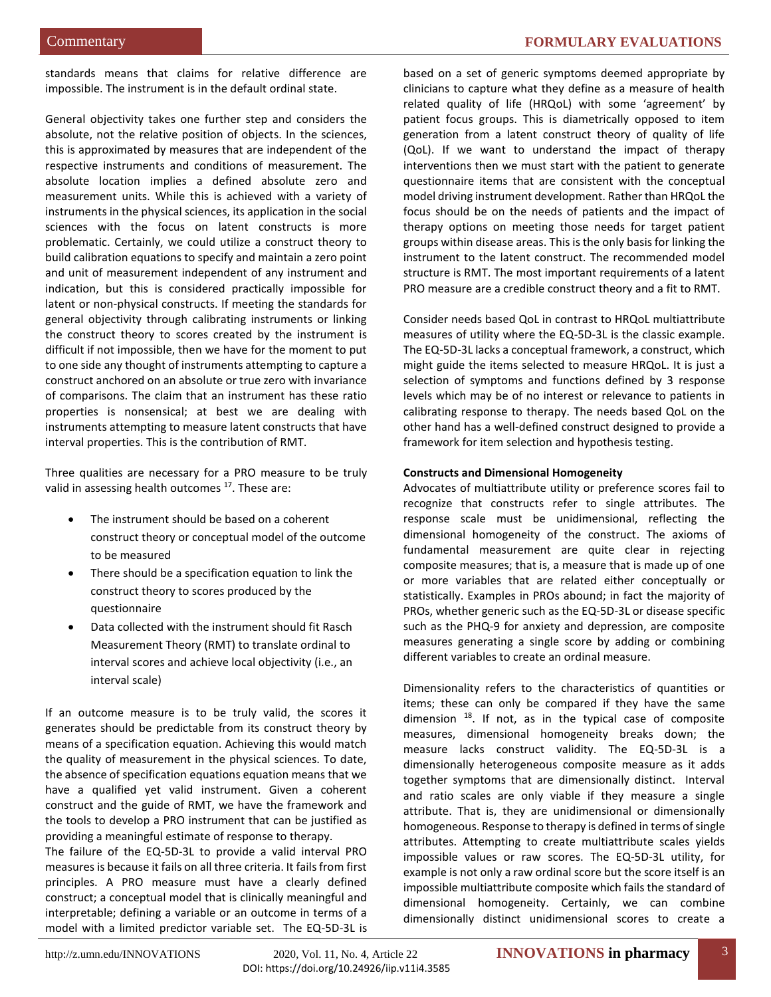standards means that claims for relative difference are impossible. The instrument is in the default ordinal state.

General objectivity takes one further step and considers the absolute, not the relative position of objects. In the sciences, this is approximated by measures that are independent of the respective instruments and conditions of measurement. The absolute location implies a defined absolute zero and measurement units. While this is achieved with a variety of instruments in the physical sciences, its application in the social sciences with the focus on latent constructs is more problematic. Certainly, we could utilize a construct theory to build calibration equations to specify and maintain a zero point and unit of measurement independent of any instrument and indication, but this is considered practically impossible for latent or non-physical constructs. If meeting the standards for general objectivity through calibrating instruments or linking the construct theory to scores created by the instrument is difficult if not impossible, then we have for the moment to put to one side any thought of instruments attempting to capture a construct anchored on an absolute or true zero with invariance of comparisons. The claim that an instrument has these ratio properties is nonsensical; at best we are dealing with instruments attempting to measure latent constructs that have interval properties. This is the contribution of RMT.

Three qualities are necessary for a PRO measure to be truly valid in assessing health outcomes <sup>17</sup>. These are:

- The instrument should be based on a coherent construct theory or conceptual model of the outcome to be measured
- There should be a specification equation to link the construct theory to scores produced by the questionnaire
- Data collected with the instrument should fit Rasch Measurement Theory (RMT) to translate ordinal to interval scores and achieve local objectivity (i.e., an interval scale)

If an outcome measure is to be truly valid, the scores it generates should be predictable from its construct theory by means of a specification equation. Achieving this would match the quality of measurement in the physical sciences. To date, the absence of specification equations equation means that we have a qualified yet valid instrument. Given a coherent construct and the guide of RMT, we have the framework and the tools to develop a PRO instrument that can be justified as providing a meaningful estimate of response to therapy.

The failure of the EQ-5D-3L to provide a valid interval PRO measures is because it fails on all three criteria. It fails from first principles. A PRO measure must have a clearly defined construct; a conceptual model that is clinically meaningful and interpretable; defining a variable or an outcome in terms of a model with a limited predictor variable set. The EQ-5D-3L is

based on a set of generic symptoms deemed appropriate by clinicians to capture what they define as a measure of health related quality of life (HRQoL) with some 'agreement' by patient focus groups. This is diametrically opposed to item generation from a latent construct theory of quality of life (QoL). If we want to understand the impact of therapy interventions then we must start with the patient to generate questionnaire items that are consistent with the conceptual model driving instrument development. Rather than HRQoL the focus should be on the needs of patients and the impact of therapy options on meeting those needs for target patient groups within disease areas. This is the only basis for linking the instrument to the latent construct. The recommended model structure is RMT. The most important requirements of a latent PRO measure are a credible construct theory and a fit to RMT.

Consider needs based QoL in contrast to HRQoL multiattribute measures of utility where the EQ-5D-3L is the classic example. The EQ-5D-3L lacks a conceptual framework, a construct, which might guide the items selected to measure HRQoL. It is just a selection of symptoms and functions defined by 3 response levels which may be of no interest or relevance to patients in calibrating response to therapy. The needs based QoL on the other hand has a well-defined construct designed to provide a framework for item selection and hypothesis testing.

#### **Constructs and Dimensional Homogeneity**

Advocates of multiattribute utility or preference scores fail to recognize that constructs refer to single attributes. The response scale must be unidimensional, reflecting the dimensional homogeneity of the construct. The axioms of fundamental measurement are quite clear in rejecting composite measures; that is, a measure that is made up of one or more variables that are related either conceptually or statistically. Examples in PROs abound; in fact the majority of PROs, whether generic such as the EQ-5D-3L or disease specific such as the PHQ-9 for anxiety and depression, are composite measures generating a single score by adding or combining different variables to create an ordinal measure.

Dimensionality refers to the characteristics of quantities or items; these can only be compared if they have the same dimension  $18$ . If not, as in the typical case of composite measures, dimensional homogeneity breaks down; the measure lacks construct validity. The EQ-5D-3L is a dimensionally heterogeneous composite measure as it adds together symptoms that are dimensionally distinct. Interval and ratio scales are only viable if they measure a single attribute. That is, they are unidimensional or dimensionally homogeneous. Response to therapy is defined in terms of single attributes. Attempting to create multiattribute scales yields impossible values or raw scores. The EQ-5D-3L utility, for example is not only a raw ordinal score but the score itself is an impossible multiattribute composite which fails the standard of dimensional homogeneity. Certainly, we can combine dimensionally distinct unidimensional scores to create a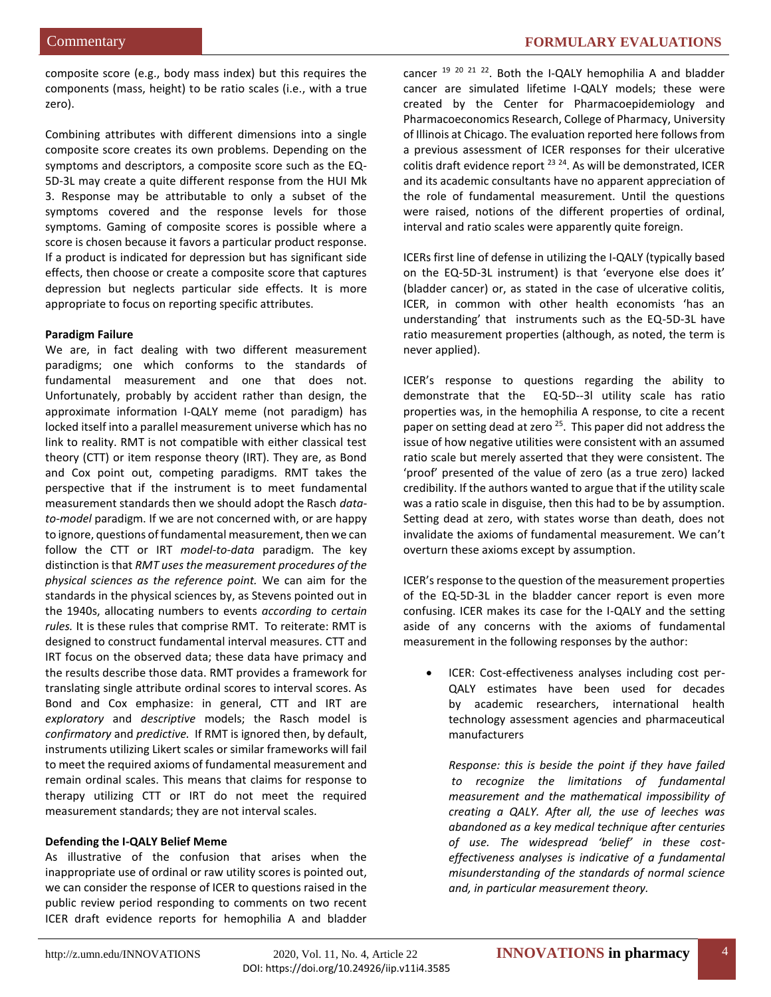composite score (e.g., body mass index) but this requires the components (mass, height) to be ratio scales (i.e., with a true zero).

Combining attributes with different dimensions into a single composite score creates its own problems. Depending on the symptoms and descriptors, a composite score such as the EQ-5D-3L may create a quite different response from the HUI Mk 3. Response may be attributable to only a subset of the symptoms covered and the response levels for those symptoms. Gaming of composite scores is possible where a score is chosen because it favors a particular product response. If a product is indicated for depression but has significant side effects, then choose or create a composite score that captures depression but neglects particular side effects. It is more appropriate to focus on reporting specific attributes.

#### **Paradigm Failure**

We are, in fact dealing with two different measurement paradigms; one which conforms to the standards of fundamental measurement and one that does not. Unfortunately, probably by accident rather than design, the approximate information I-QALY meme (not paradigm) has locked itself into a parallel measurement universe which has no link to reality. RMT is not compatible with either classical test theory (CTT) or item response theory (IRT). They are, as Bond and Cox point out, competing paradigms. RMT takes the perspective that if the instrument is to meet fundamental measurement standards then we should adopt the Rasch *datato-model* paradigm. If we are not concerned with, or are happy to ignore, questions of fundamental measurement, then we can follow the CTT or IRT *model-to-data* paradigm. The key distinction is that *RMT uses the measurement procedures of the physical sciences as the reference point.* We can aim for the standards in the physical sciences by, as Stevens pointed out in the 1940s, allocating numbers to events *according to certain rules.* It is these rules that comprise RMT. To reiterate: RMT is designed to construct fundamental interval measures. CTT and IRT focus on the observed data; these data have primacy and the results describe those data. RMT provides a framework for translating single attribute ordinal scores to interval scores. As Bond and Cox emphasize: in general, CTT and IRT are *exploratory* and *descriptive* models; the Rasch model is *confirmatory* and *predictive.* If RMT is ignored then, by default, instruments utilizing Likert scales or similar frameworks will fail to meet the required axioms of fundamental measurement and remain ordinal scales. This means that claims for response to therapy utilizing CTT or IRT do not meet the required measurement standards; they are not interval scales.

# **Defending the I-QALY Belief Meme**

As illustrative of the confusion that arises when the inappropriate use of ordinal or raw utility scores is pointed out, we can consider the response of ICER to questions raised in the public review period responding to comments on two recent ICER draft evidence reports for hemophilia A and bladder

cancer <sup>19 20 21 22</sup>. Both the I-QALY hemophilia A and bladder cancer are simulated lifetime I-QALY models; these were created by the Center for Pharmacoepidemiology and Pharmacoeconomics Research, College of Pharmacy, University of Illinois at Chicago. The evaluation reported here follows from a previous assessment of ICER responses for their ulcerative colitis draft evidence report  $^{23}$   $^{24}$ . As will be demonstrated, ICER and its academic consultants have no apparent appreciation of the role of fundamental measurement. Until the questions were raised, notions of the different properties of ordinal, interval and ratio scales were apparently quite foreign.

ICERs first line of defense in utilizing the I-QALY (typically based on the EQ-5D-3L instrument) is that 'everyone else does it' (bladder cancer) or, as stated in the case of ulcerative colitis, ICER, in common with other health economists 'has an understanding' that instruments such as the EQ-5D-3L have ratio measurement properties (although, as noted, the term is never applied).

ICER's response to questions regarding the ability to demonstrate that the EQ-5D--3l utility scale has ratio properties was, in the hemophilia A response, to cite a recent paper on setting dead at zero<sup>25</sup>. This paper did not address the issue of how negative utilities were consistent with an assumed ratio scale but merely asserted that they were consistent. The 'proof' presented of the value of zero (as a true zero) lacked credibility. If the authors wanted to argue that if the utility scale was a ratio scale in disguise, then this had to be by assumption. Setting dead at zero, with states worse than death, does not invalidate the axioms of fundamental measurement. We can't overturn these axioms except by assumption.

ICER's response to the question of the measurement properties of the EQ-5D-3L in the bladder cancer report is even more confusing. ICER makes its case for the I-QALY and the setting aside of any concerns with the axioms of fundamental measurement in the following responses by the author:

 ICER: Cost-effectiveness analyses including cost per-QALY estimates have been used for decades by academic researchers, international health technology assessment agencies and pharmaceutical manufacturers

*Response: this is beside the point if they have failed to recognize the limitations of fundamental measurement and the mathematical impossibility of creating a QALY. After all, the use of leeches was abandoned as a key medical technique after centuries of use. The widespread 'belief' in these costeffectiveness analyses is indicative of a fundamental misunderstanding of the standards of normal science and, in particular measurement theory.*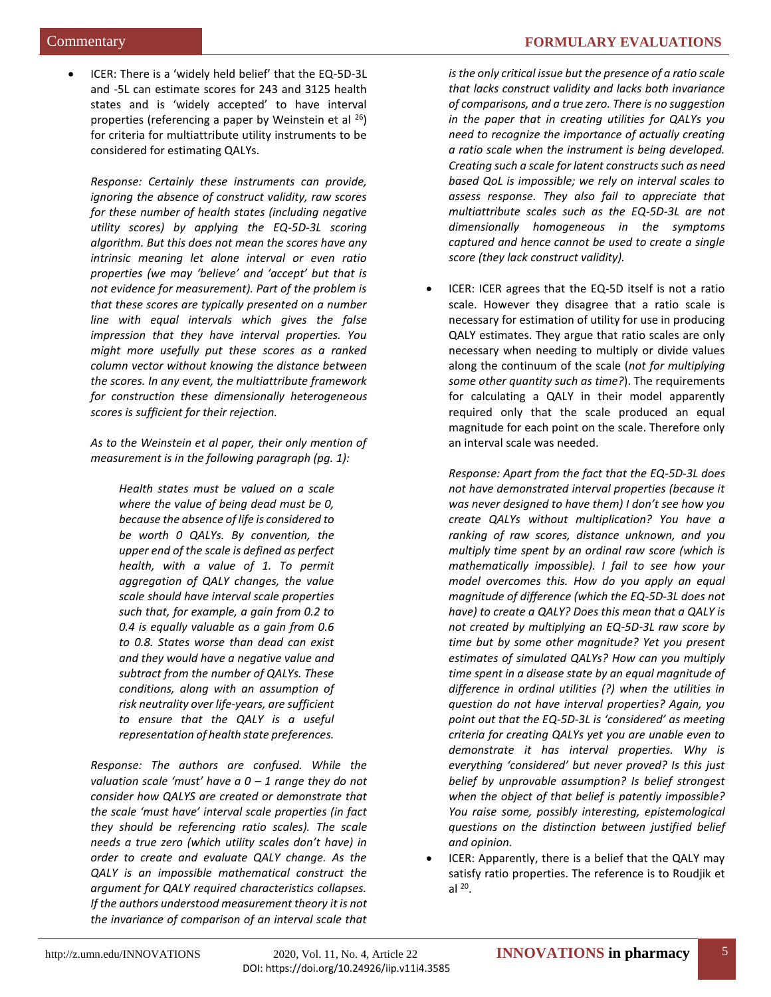ICER: There is a 'widely held belief' that the EQ-5D-3L and -5L can estimate scores for 243 and 3125 health states and is 'widely accepted' to have interval properties (referencing a paper by Weinstein et al <sup>26</sup>) for criteria for multiattribute utility instruments to be considered for estimating QALYs.

*Response: Certainly these instruments can provide, ignoring the absence of construct validity, raw scores for these number of health states (including negative utility scores) by applying the EQ-5D-3L scoring algorithm. But this does not mean the scores have any intrinsic meaning let alone interval or even ratio properties (we may 'believe' and 'accept' but that is not evidence for measurement). Part of the problem is that these scores are typically presented on a number line with equal intervals which gives the false impression that they have interval properties. You might more usefully put these scores as a ranked column vector without knowing the distance between the scores. In any event, the multiattribute framework for construction these dimensionally heterogeneous scores is sufficient for their rejection.*

*As to the Weinstein et al paper, their only mention of measurement is in the following paragraph (pg. 1):*

*Health states must be valued on a scale where the value of being dead must be 0, because the absence of life is considered to be worth 0 QALYs. By convention, the upper end of the scale is defined as perfect health, with a value of 1. To permit aggregation of QALY changes, the value scale should have interval scale properties such that, for example, a gain from 0.2 to 0.4 is equally valuable as a gain from 0.6 to 0.8. States worse than dead can exist and they would have a negative value and subtract from the number of QALYs. These conditions, along with an assumption of risk neutrality over life-years, are sufficient to ensure that the QALY is a useful representation of health state preferences.*

*Response: The authors are confused. While the valuation scale 'must' have a 0 – 1 range they do not consider how QALYS are created or demonstrate that the scale 'must have' interval scale properties (in fact they should be referencing ratio scales). The scale needs a true zero (which utility scales don't have) in order to create and evaluate QALY change. As the QALY is an impossible mathematical construct the argument for QALY required characteristics collapses. If the authors understood measurement theory it is not the invariance of comparison of an interval scale that* 

*is the only critical issue but the presence of a ratio scale that lacks construct validity and lacks both invariance of comparisons, and a true zero. There is no suggestion in the paper that in creating utilities for QALYs you need to recognize the importance of actually creating a ratio scale when the instrument is being developed. Creating such a scale for latent constructs such as need based QoL is impossible; we rely on interval scales to assess response. They also fail to appreciate that multiattribute scales such as the EQ-5D-3L are not dimensionally homogeneous in the symptoms captured and hence cannot be used to create a single score (they lack construct validity).*

 ICER: ICER agrees that the EQ-5D itself is not a ratio scale. However they disagree that a ratio scale is necessary for estimation of utility for use in producing QALY estimates. They argue that ratio scales are only necessary when needing to multiply or divide values along the continuum of the scale (*not for multiplying some other quantity such as time?*). The requirements for calculating a QALY in their model apparently required only that the scale produced an equal magnitude for each point on the scale. Therefore only an interval scale was needed.

*Response: Apart from the fact that the EQ-5D-3L does not have demonstrated interval properties (because it was never designed to have them) I don't see how you create QALYs without multiplication? You have a ranking of raw scores, distance unknown, and you multiply time spent by an ordinal raw score (which is mathematically impossible). I fail to see how your model overcomes this. How do you apply an equal magnitude of difference (which the EQ-5D-3L does not have) to create a QALY? Does this mean that a QALY is not created by multiplying an EQ-5D-3L raw score by time but by some other magnitude? Yet you present estimates of simulated QALYs? How can you multiply time spent in a disease state by an equal magnitude of difference in ordinal utilities (?) when the utilities in question do not have interval properties? Again, you point out that the EQ-5D-3L is 'considered' as meeting criteria for creating QALYs yet you are unable even to demonstrate it has interval properties. Why is everything 'considered' but never proved? Is this just belief by unprovable assumption? Is belief strongest when the object of that belief is patently impossible? You raise some, possibly interesting, epistemological questions on the distinction between justified belief and opinion.* 

• ICER: Apparently, there is a belief that the QALY may satisfy ratio properties. The reference is to Roudjik et al  $^{20}$ .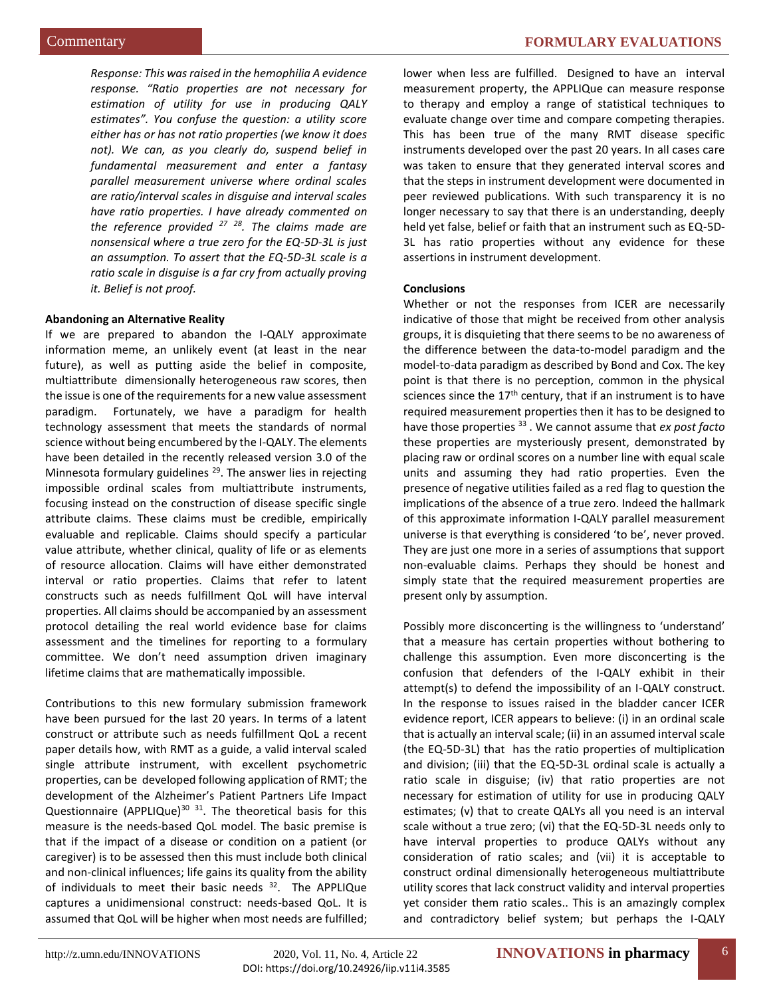*Response: This was raised in the hemophilia A evidence response. "Ratio properties are not necessary for estimation of utility for use in producing QALY estimates". You confuse the question: a utility score either has or has not ratio properties (we know it does not). We can, as you clearly do, suspend belief in fundamental measurement and enter a fantasy parallel measurement universe where ordinal scales are ratio/interval scales in disguise and interval scales have ratio properties. I have already commented on the reference provided <sup>27</sup> <sup>28</sup>. The claims made are nonsensical where a true zero for the EQ-5D-3L is just an assumption. To assert that the EQ-5D-3L scale is a ratio scale in disguise is a far cry from actually proving it. Belief is not proof.*

# **Abandoning an Alternative Reality**

If we are prepared to abandon the I-QALY approximate information meme, an unlikely event (at least in the near future), as well as putting aside the belief in composite, multiattribute dimensionally heterogeneous raw scores, then the issue is one of the requirements for a new value assessment paradigm. Fortunately, we have a paradigm for health technology assessment that meets the standards of normal science without being encumbered by the I-QALY. The elements have been detailed in the recently released version 3.0 of the Minnesota formulary guidelines<sup>29</sup>. The answer lies in rejecting impossible ordinal scales from multiattribute instruments, focusing instead on the construction of disease specific single attribute claims. These claims must be credible, empirically evaluable and replicable. Claims should specify a particular value attribute, whether clinical, quality of life or as elements of resource allocation. Claims will have either demonstrated interval or ratio properties. Claims that refer to latent constructs such as needs fulfillment QoL will have interval properties. All claims should be accompanied by an assessment protocol detailing the real world evidence base for claims assessment and the timelines for reporting to a formulary committee. We don't need assumption driven imaginary lifetime claims that are mathematically impossible.

Contributions to this new formulary submission framework have been pursued for the last 20 years. In terms of a latent construct or attribute such as needs fulfillment QoL a recent paper details how, with RMT as a guide, a valid interval scaled single attribute instrument, with excellent psychometric properties, can be developed following application of RMT; the development of the Alzheimer's Patient Partners Life Impact Questionnaire (APPLIQue) $30$  31. The theoretical basis for this measure is the needs-based QoL model. The basic premise is that if the impact of a disease or condition on a patient (or caregiver) is to be assessed then this must include both clinical and non-clinical influences; life gains its quality from the ability of individuals to meet their basic needs  $32$ . The APPLIQue captures a unidimensional construct: needs-based QoL. It is assumed that QoL will be higher when most needs are fulfilled; lower when less are fulfilled. Designed to have an interval measurement property, the APPLIQue can measure response to therapy and employ a range of statistical techniques to evaluate change over time and compare competing therapies. This has been true of the many RMT disease specific instruments developed over the past 20 years. In all cases care was taken to ensure that they generated interval scores and that the steps in instrument development were documented in peer reviewed publications. With such transparency it is no longer necessary to say that there is an understanding, deeply held yet false, belief or faith that an instrument such as EQ-5D-3L has ratio properties without any evidence for these assertions in instrument development.

# **Conclusions**

Whether or not the responses from ICER are necessarily indicative of those that might be received from other analysis groups, it is disquieting that there seems to be no awareness of the difference between the data-to-model paradigm and the model-to-data paradigm as described by Bond and Cox. The key point is that there is no perception, common in the physical sciences since the  $17<sup>th</sup>$  century, that if an instrument is to have required measurement properties then it has to be designed to have those properties <sup>33</sup> . We cannot assume that *ex post facto* these properties are mysteriously present, demonstrated by placing raw or ordinal scores on a number line with equal scale units and assuming they had ratio properties. Even the presence of negative utilities failed as a red flag to question the implications of the absence of a true zero. Indeed the hallmark of this approximate information I-QALY parallel measurement universe is that everything is considered 'to be', never proved. They are just one more in a series of assumptions that support non-evaluable claims. Perhaps they should be honest and simply state that the required measurement properties are present only by assumption.

Possibly more disconcerting is the willingness to 'understand' that a measure has certain properties without bothering to challenge this assumption. Even more disconcerting is the confusion that defenders of the I-QALY exhibit in their attempt(s) to defend the impossibility of an I-QALY construct. In the response to issues raised in the bladder cancer ICER evidence report, ICER appears to believe: (i) in an ordinal scale that is actually an interval scale; (ii) in an assumed interval scale (the EQ-5D-3L) that has the ratio properties of multiplication and division; (iii) that the EQ-5D-3L ordinal scale is actually a ratio scale in disguise; (iv) that ratio properties are not necessary for estimation of utility for use in producing QALY estimates; (v) that to create QALYs all you need is an interval scale without a true zero; (vi) that the EQ-5D-3L needs only to have interval properties to produce QALYs without any consideration of ratio scales; and (vii) it is acceptable to construct ordinal dimensionally heterogeneous multiattribute utility scores that lack construct validity and interval properties yet consider them ratio scales.. This is an amazingly complex and contradictory belief system; but perhaps the I-QALY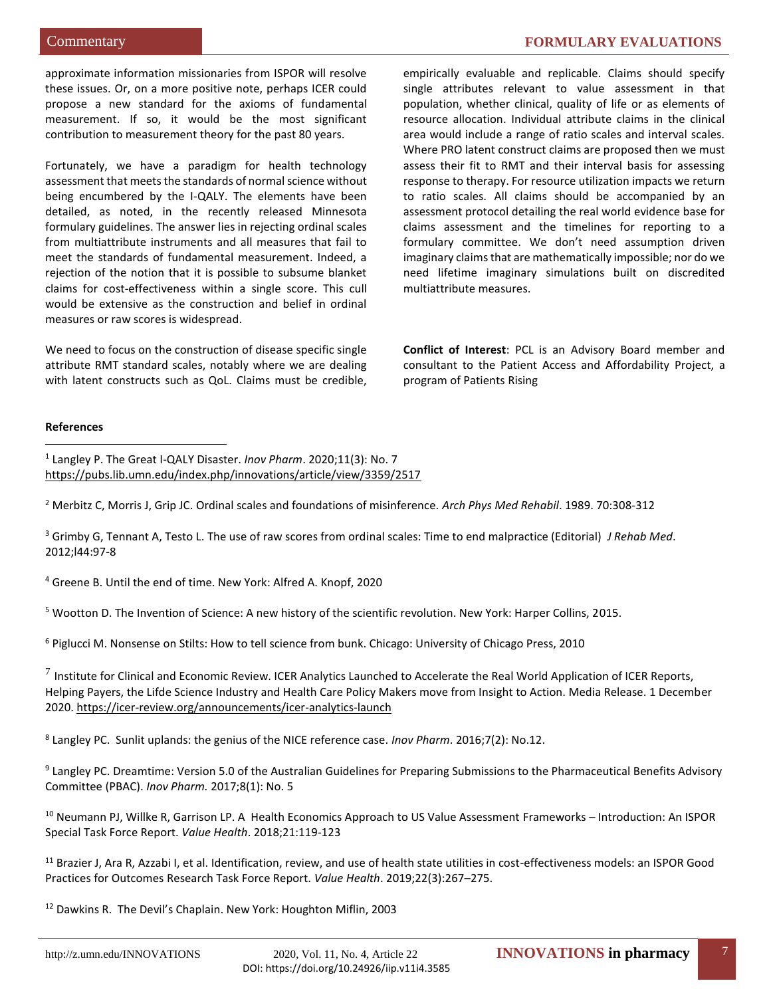Commentary **FORMULARY EVALUATIONS**

approximate information missionaries from ISPOR will resolve these issues. Or, on a more positive note, perhaps ICER could propose a new standard for the axioms of fundamental measurement. If so, it would be the most significant contribution to measurement theory for the past 80 years.

Fortunately, we have a paradigm for health technology assessment that meets the standards of normal science without being encumbered by the I-QALY. The elements have been detailed, as noted, in the recently released Minnesota formulary guidelines. The answer lies in rejecting ordinal scales from multiattribute instruments and all measures that fail to meet the standards of fundamental measurement. Indeed, a rejection of the notion that it is possible to subsume blanket claims for cost-effectiveness within a single score. This cull would be extensive as the construction and belief in ordinal measures or raw scores is widespread.

We need to focus on the construction of disease specific single attribute RMT standard scales, notably where we are dealing with latent constructs such as QoL. Claims must be credible, empirically evaluable and replicable. Claims should specify single attributes relevant to value assessment in that population, whether clinical, quality of life or as elements of resource allocation. Individual attribute claims in the clinical area would include a range of ratio scales and interval scales. Where PRO latent construct claims are proposed then we must assess their fit to RMT and their interval basis for assessing response to therapy. For resource utilization impacts we return to ratio scales. All claims should be accompanied by an assessment protocol detailing the real world evidence base for claims assessment and the timelines for reporting to a formulary committee. We don't need assumption driven imaginary claims that are mathematically impossible; nor do we need lifetime imaginary simulations built on discredited multiattribute measures.

**Conflict of Interest**: PCL is an Advisory Board member and consultant to the Patient Access and Affordability Project, a program of Patients Rising

# **References**

 $\overline{a}$ 

1 Langley P. The Great I-QALY Disaster. *Inov Pharm*. 2020;11(3): No. 7 <https://pubs.lib.umn.edu/index.php/innovations/article/view/3359/2517>

<sup>2</sup> Merbitz C, Morris J, Grip JC. Ordinal scales and foundations of misinference. *Arch Phys Med Rehabil*. 1989. 70:308-312

<sup>3</sup> Grimby G, Tennant A, Testo L. The use of raw scores from ordinal scales: Time to end malpractice (Editorial) *J Rehab Med*. 2012;l44:97-8

<sup>4</sup> Greene B. Until the end of time. New York: Alfred A. Knopf, 2020

<sup>5</sup> Wootton D. The Invention of Science: A new history of the scientific revolution. New York: Harper Collins, 2015.

<sup>6</sup> Piglucci M. Nonsense on Stilts: How to tell science from bunk. Chicago: University of Chicago Press, 2010

 $^7$  Institute for Clinical and Economic Review. ICER Analytics Launched to Accelerate the Real World Application of ICER Reports, Helping Payers, the Lifde Science Industry and Health Care Policy Makers move from Insight to Action. Media Release. 1 December 2020.<https://icer-review.org/announcements/icer-analytics-launch>

8 Langley PC. Sunlit uplands: the genius of the NICE reference case. *Inov Pharm*. 2016;7(2): No.12.

<sup>9</sup> Langley PC. Dreamtime: Version 5.0 of the Australian Guidelines for Preparing Submissions to the Pharmaceutical Benefits Advisory Committee (PBAC). *Inov Pharm.* 2017;8(1): No. 5

<sup>10</sup> Neumann PJ, Willke R, Garrison LP. A Health Economics Approach to US Value Assessment Frameworks – Introduction: An ISPOR Special Task Force Report. *Value Health*. 2018;21:119-123

<sup>11</sup> Brazier J, Ara R, Azzabi I, et al. Identification, review, and use of health state utilities in cost-effectiveness models: an ISPOR Good Practices for Outcomes Research Task Force Report. *Value Health*. 2019;22(3):267–275.

<sup>12</sup> Dawkins R. The Devil's Chaplain. New York: Houghton Miflin, 2003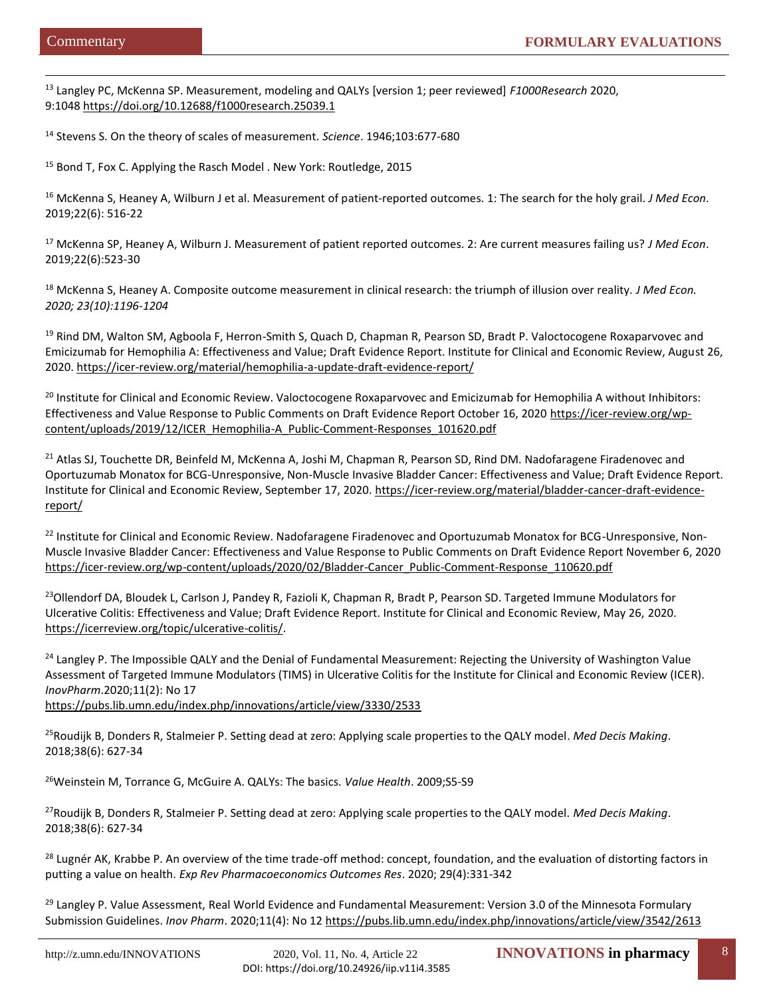$\overline{a}$ 

<sup>13</sup> Langley PC, McKenna SP. Measurement, modeling and QALYs [version 1; peer reviewed] *F1000Research* 2020, 9:1048 <https://doi.org/10.12688/f1000research.25039.1>

<sup>14</sup> Stevens S. On the theory of scales of measurement. *Science*. 1946;103:677-680

<sup>15</sup> Bond T, Fox C. Applying the Rasch Model . New York: Routledge, 2015

<sup>16</sup> McKenna S, Heaney A, Wilburn J et al. Measurement of patient-reported outcomes. 1: The search for the holy grail. *J Med Econ*. 2019;22(6): 516-22

<sup>17</sup> McKenna SP, Heaney A, Wilburn J. Measurement of patient reported outcomes. 2: Are current measures failing us? *J Med Econ*. 2019;22(6):523-30

<sup>18</sup> McKenna S, Heaney A. Composite outcome measurement in clinical research: the triumph of illusion over reality. *J Med Econ. 2020; 23(10):1196-1204*

<sup>19</sup> Rind DM, Walton SM, Agboola F, Herron-Smith S, Quach D, Chapman R, Pearson SD, Bradt P. Valoctocogene Roxaparvovec and Emicizumab for Hemophilia A: Effectiveness and Value; Draft Evidence Report. Institute for Clinical and Economic Review, August 26, 2020.<https://icer-review.org/material/hemophilia-a-update-draft-evidence-report/>

<sup>20</sup> Institute for Clinical and Economic Review. Valoctocogene Roxaparvovec and Emicizumab for Hemophilia A without Inhibitors: Effectiveness and Value Response to Public Comments on Draft Evidence Report October 16, 2020 [https://icer-review.org/wp](https://icer-review.org/wp-content/uploads/2019/12/ICER_Hemophilia-A_Public-Comment-Responses_101620.pdf)[content/uploads/2019/12/ICER\\_Hemophilia-A\\_Public-Comment-Responses\\_101620.pdf](https://icer-review.org/wp-content/uploads/2019/12/ICER_Hemophilia-A_Public-Comment-Responses_101620.pdf)

<sup>21</sup> Atlas SJ, Touchette DR, Beinfeld M, McKenna A, Joshi M, Chapman R, Pearson SD, Rind DM. Nadofaragene Firadenovec and Oportuzumab Monatox for BCG-Unresponsive, Non-Muscle Invasive Bladder Cancer: Effectiveness and Value; Draft Evidence Report. Institute for Clinical and Economic Review, September 17, 2020. [https://icer-review.org/material/bladder-cancer-draft-evidence](https://icer-review.org/material/bladder-cancer-draft-evidence-report/)[report/](https://icer-review.org/material/bladder-cancer-draft-evidence-report/)

<sup>22</sup> Institute for Clinical and Economic Review. Nadofaragene Firadenovec and Oportuzumab Monatox for BCG-Unresponsive, Non-Muscle Invasive Bladder Cancer: Effectiveness and Value Response to Public Comments on Draft Evidence Report November 6, 2020 [https://icer-review.org/wp-content/uploads/2020/02/Bladder-Cancer\\_Public-Comment-Response\\_110620.pdf](https://icer-review.org/wp-content/uploads/2020/02/Bladder-Cancer_Public-Comment-Response_110620.pdf)

<sup>23</sup>Ollendorf DA, Bloudek L, Carlson J, Pandey R, Fazioli K, Chapman R, Bradt P, Pearson SD. Targeted Immune Modulators for Ulcerative Colitis: Effectiveness and Value; Draft Evidence Report. Institute for Clinical and Economic Review, May 26, 2020. [https://icerreview.org/topic/ulcerative-colitis/.](https://icerreview.org/topic/ulcerative-colitis/)

<sup>24</sup> Langley P. The Impossible QALY and the Denial of Fundamental Measurement: Rejecting the University of Washington Value [Assessment of Targeted Immune Modulators \(TIMS\) in Ulcerative Colitis for the Institute for Clinical and Economic Review \(ICER\).](https://pubs.lib.umn.edu/index.php/innovations/article/view/3330)  *InovPharm*.2020;11(2): No 17 <https://pubs.lib.umn.edu/index.php/innovations/article/view/3330/2533>

<sup>25</sup>Roudijk B, Donders R, Stalmeier P. Setting dead at zero: Applying scale properties to the QALY model. *Med Decis Making*. 2018;38(6): 627-34

<sup>26</sup>Weinstein M, Torrance G, McGuire A. QALYs: The basics. *Value Health*. 2009;S5-S9

<sup>27</sup>Roudijk B, Donders R, Stalmeier P. Setting dead at zero: Applying scale properties to the QALY model. *Med Decis Making*. 2018;38(6): 627-34

<sup>28</sup> Lugnér AK, Krabbe P. An overview of the time trade-off method: concept, foundation, and the evaluation of distorting factors in putting a value on health. *Exp Rev Pharmacoeconomics Outcomes Res*. 2020; 29(4):331-342

<sup>29</sup> Langley P. Value Assessment, Real World Evidence and Fundamental Measurement: Version 3.0 of the Minnesota Formulary Submission Guidelines. *Inov Pharm*. 2020;11(4): No 1[2 https://pubs.lib.umn.edu/index.php/innovations/article/view/3542/2613](https://pubs.lib.umn.edu/index.php/innovations/article/view/3542/2613)